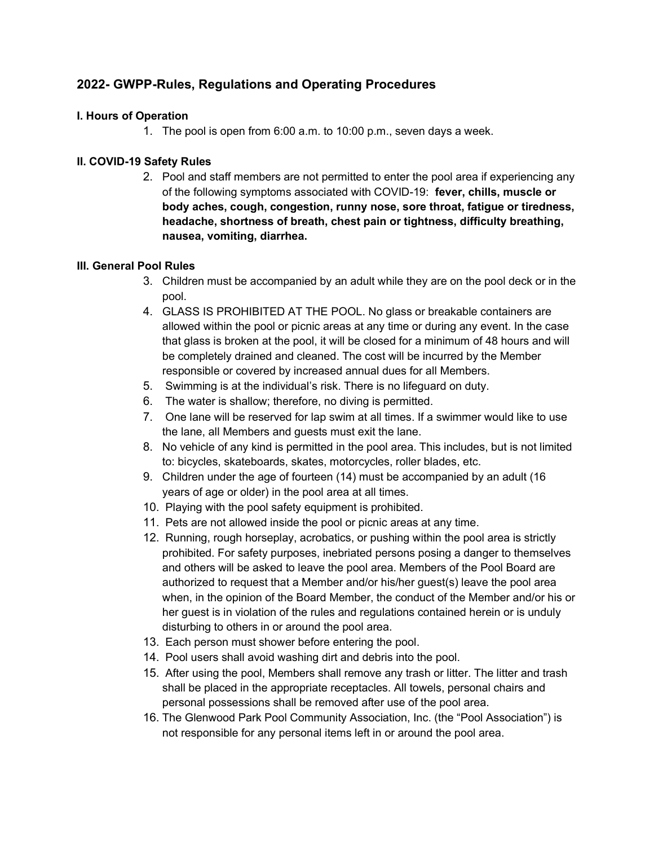# 2022- GWPP-Rules, Regulations and Operating Procedures

# I. Hours of Operation

1. The pool is open from 6:00 a.m. to 10:00 p.m., seven days a week.

# II. COVID-19 Safety Rules

2. Pool and staff members are not permitted to enter the pool area if experiencing any of the following symptoms associated with COVID-19: fever, chills, muscle or body aches, cough, congestion, runny nose, sore throat, fatigue or tiredness, headache, shortness of breath, chest pain or tightness, difficulty breathing, nausea, vomiting, diarrhea.

### III. General Pool Rules

- 3. Children must be accompanied by an adult while they are on the pool deck or in the pool.
- 4. GLASS IS PROHIBITED AT THE POOL. No glass or breakable containers are allowed within the pool or picnic areas at any time or during any event. In the case that glass is broken at the pool, it will be closed for a minimum of 48 hours and will be completely drained and cleaned. The cost will be incurred by the Member responsible or covered by increased annual dues for all Members.
- 5. Swimming is at the individual's risk. There is no lifeguard on duty.
- 6. The water is shallow; therefore, no diving is permitted.
- 7. One lane will be reserved for lap swim at all times. If a swimmer would like to use the lane, all Members and guests must exit the lane.
- 8. No vehicle of any kind is permitted in the pool area. This includes, but is not limited to: bicycles, skateboards, skates, motorcycles, roller blades, etc.
- 9. Children under the age of fourteen (14) must be accompanied by an adult (16 years of age or older) in the pool area at all times.
- 10. Playing with the pool safety equipment is prohibited.
- 11. Pets are not allowed inside the pool or picnic areas at any time.
- 12. Running, rough horseplay, acrobatics, or pushing within the pool area is strictly prohibited. For safety purposes, inebriated persons posing a danger to themselves and others will be asked to leave the pool area. Members of the Pool Board are authorized to request that a Member and/or his/her guest(s) leave the pool area when, in the opinion of the Board Member, the conduct of the Member and/or his or her guest is in violation of the rules and regulations contained herein or is unduly disturbing to others in or around the pool area.
- 13. Each person must shower before entering the pool.
- 14. Pool users shall avoid washing dirt and debris into the pool.
- 15. After using the pool, Members shall remove any trash or litter. The litter and trash shall be placed in the appropriate receptacles. All towels, personal chairs and personal possessions shall be removed after use of the pool area.
- 16. The Glenwood Park Pool Community Association, Inc. (the "Pool Association") is not responsible for any personal items left in or around the pool area.